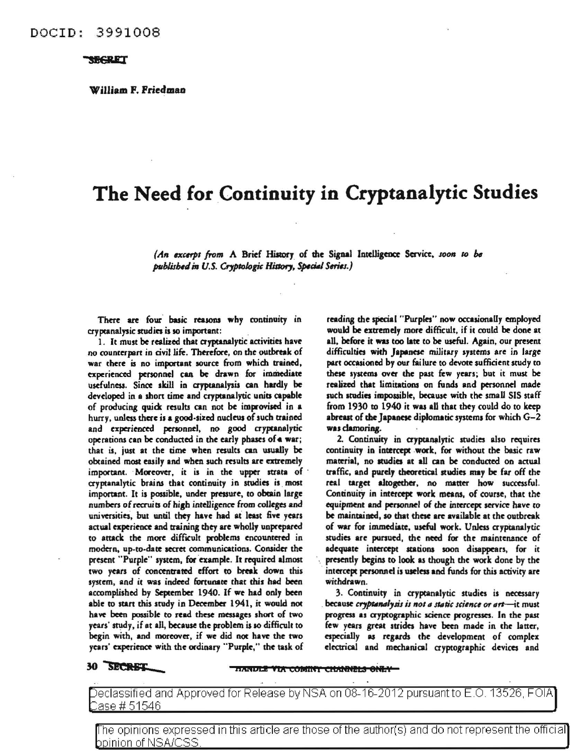William F. Friedmao

## The Need for Continuity in Cryptanalytic Studies

*(An excerpt from A Brief History of the Signal Intelligence Service, soon to be* published in U.S. Cryptologic History, Special Series.)

There are four basic reasons why continuity in cryptanalysic studies is so important:

1. It must be realized that cryptanalytic activities have no counterpart in civil life. Therefore, on the outbreak of war there is no important source from which trained, experienced personnel can be drawn for immediate usefulness. Since skill in cryptanalysis can hardly be developed in a short time and cryptanalytic units capable of producing quick results can not be improvised in a hurry, unless there is a good-sized nucleus of such trained and experienced personnel, no good cryptanalytic operations can be conducted in the early phases of a war; that is, just at the time when results can usually be obtained most easily and when such results are extremely important. Moreover, it is in the upper strata of cryptanalytic brains that continuity in studies is most important. It is possible, under pressure, to obtain large numbers of recruits of high intelligence from colleges and universities, but until they have had at least five years actual experience and training they are wholly unprepared to attack the more difficult problems encountered in modern, up-to-date secret communications. Consider the present "Purple" system, for example. It required almost two years of concentrated effort co break down this system, and it was indeed fortunate that this had been accomplished by September 1940. If we had only been able to start this study in December 1941, it would not have been possible to read these messages short of two years' study, if at all, because the problem is so difficult to begin with, and moreover, if we did not have the two years' experience with the ordinary "Purple," the task of

reading the special "Purples" now occasionally employed would be extremely more difficult, if it could be done at all, before it was too late to be useful. Again, our present difficulties with Japanese military systems are in large part occasioned by our failure to devote sufficient study to these syscema over the past few years; but it must be realized that limitations on funds and personnel made such studies impossible, because with the small SIS staff from 1930 to 1940 it was all that they could do to keep abreast of the Japanese diplomatic systems for which  $G-2$ was clamoring.

2. Continuity in cryptanalytic studies also requires continuity in intercept work, for without the basic raw material, no studies at all can be conducted on actual traffic, and purely theoretical studies may be far off the real target altogether, no matter how successful. Continuity in intercept work means, of course, that the equipment and personnel of the intercept service have to be maintained, so that these are available at the outbreak of war for immediate, useful work. Unless cryptanalytic studies are pursued, the need for the maintenance of adequate intercept scationa soon disappears, for it presently begins to look as though the work done by the intercept personnel is useless and funds for this activity are withdrawn.

3. Continuity in cryptanalytic studies is necessary because cryptanalysis is not a static science or art-it must progress as cryptographic science progresses. In the past few years great strides have been made in the latter, especially as regards the development of complex electrical and mechanical ayptographic devices and

## 30 SECRET

**HANDLE VIA COMINY CHANNELS ONLY-**

Declassified and Approved for Release by NSA on 08-16-2012 pursuant to E.O. 13526, FOIA ase # 51 546

The opinions expressed in this article are those of the author(s) and do not represent the official bpinion of NSA/CSS